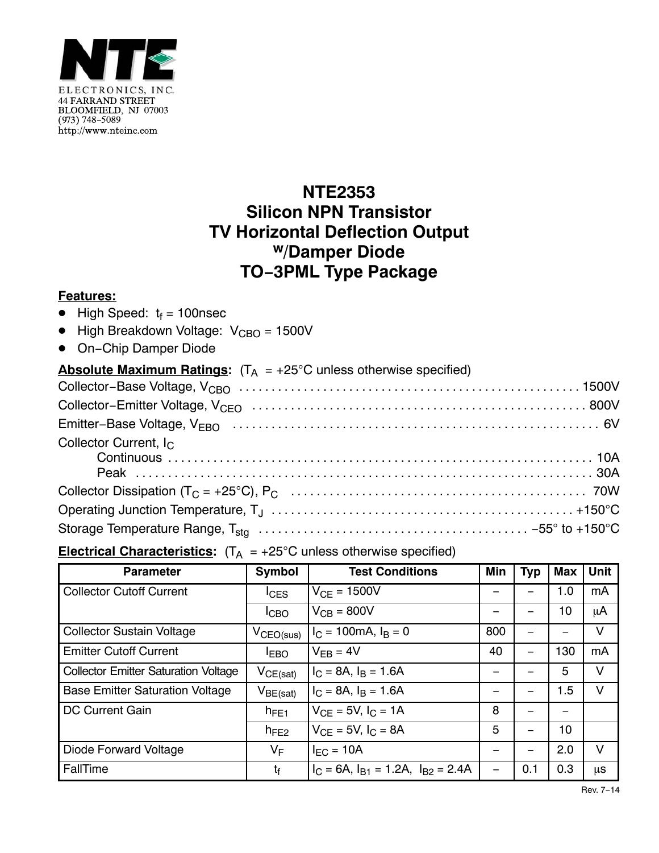

## **NTE2353 Silicon NPN Transistor TV Horizontal Deflection Output w/Damper Diode TO−3PML Type Package**

## **Features:**

- $\bullet$  High Speed:  $t_f = 100$ nsec
- High Breakdown Voltage: V<sub>CBO</sub> = 1500V
- 

| • On-Chip Damper Diode                                                               |
|--------------------------------------------------------------------------------------|
| <b>Absolute Maximum Ratings:</b> $(T_A = +25^{\circ}C$ unless otherwise specified)   |
|                                                                                      |
|                                                                                      |
|                                                                                      |
| Collector Current, I <sub>C</sub>                                                    |
|                                                                                      |
|                                                                                      |
|                                                                                      |
| <b>Electrical Characteristics:</b> $(T_A = +25^{\circ}C$ unless otherwise specified) |

|  |  |  | <b>Electrical Characteristics:</b> $(T_A = +25^{\circ}C$ unless otherwise specified) |  |
|--|--|--|--------------------------------------------------------------------------------------|--|
|--|--|--|--------------------------------------------------------------------------------------|--|

| <b>Parameter</b>                            | Symbol                | <b>Test Conditions</b>                         | Min | <b>Typ</b> | <b>Max</b> | Unit   |
|---------------------------------------------|-----------------------|------------------------------------------------|-----|------------|------------|--------|
| <b>Collector Cutoff Current</b>             | $I_{CES}$             | $V_{CF} = 1500V$                               |     |            | 1.0        | mA     |
|                                             | ICBO                  | $V_{CB}$ = 800V                                |     |            | 10         | μA     |
| <b>Collector Sustain Voltage</b>            | $V_{\text{CEO(sus)}}$ | $I_C = 100 \text{mA}, I_B = 0$                 | 800 |            |            | V      |
| <b>Emitter Cutoff Current</b>               | I <sub>EBO</sub>      | $V_{FB} = 4V$                                  | 40  |            | 130        | mA     |
| <b>Collector Emitter Saturation Voltage</b> | $V_{CE(sat)}$         | $I_C = 8A$ , $I_B = 1.6A$                      |     |            | 5          | V      |
| <b>Base Emitter Saturation Voltage</b>      | $V_{BE(sat)}$         | $I_C = 8A$ , $I_B = 1.6A$                      |     |            | 1.5        | V      |
| DC Current Gain                             | $h_{FE1}$             | $V_{CF} = 5V, I_C = 1A$                        | 8   |            |            |        |
|                                             | $h_{FE2}$             | $V_{CF} = 5V, I_C = 8A$                        | 5   |            | 10         |        |
| Diode Forward Voltage                       | $V_F$                 | $I_{EC}$ = 10A                                 |     |            | 2.0        | $\vee$ |
| FallTime                                    | t <sub>f</sub>        | $I_C = 6A$ , $I_{B1} = 1.2A$ , $I_{B2} = 2.4A$ | —   | 0.1        | 0.3        | μS     |